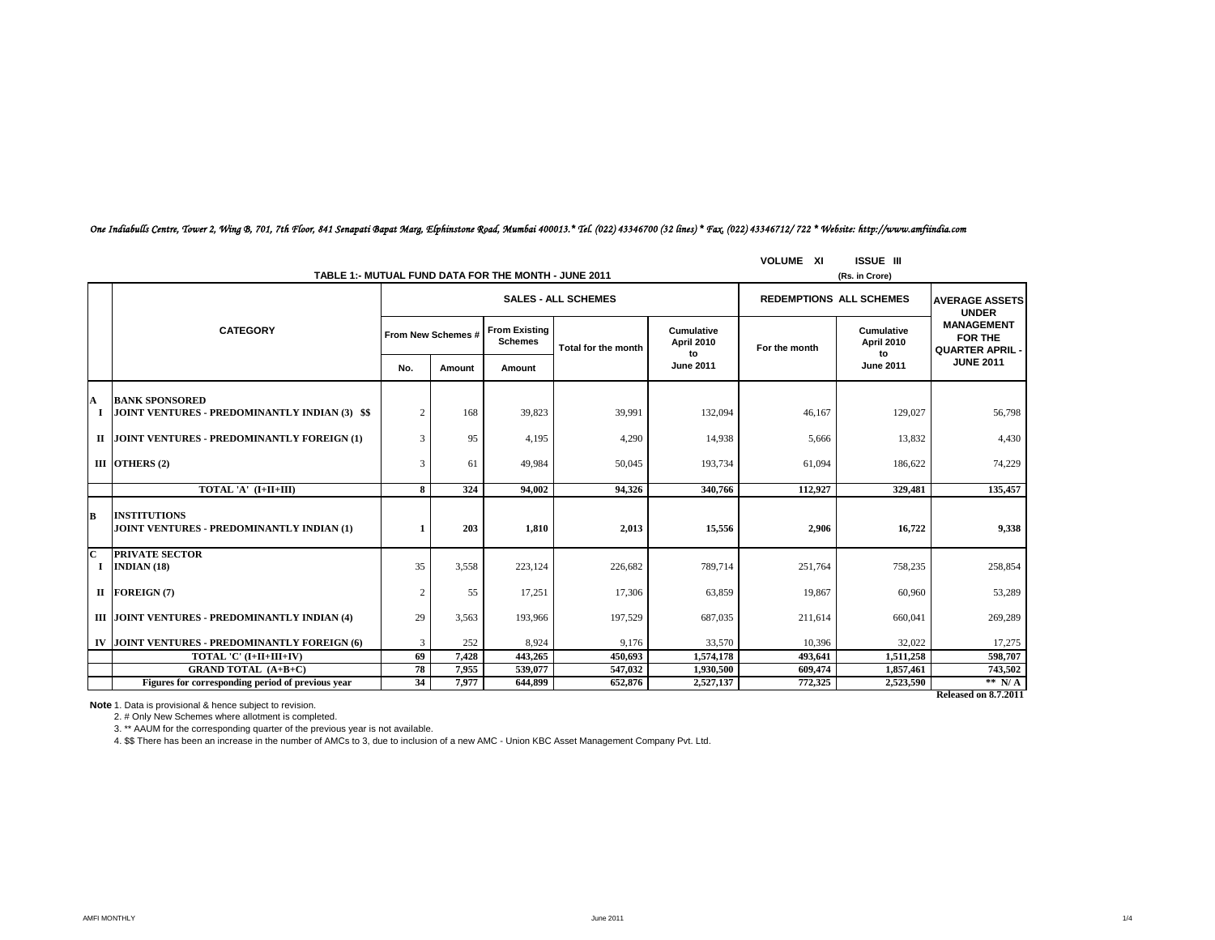|              | TABLE 1: MUTUAL FUND DATA FOR THE MONTH - JUNE 2011                     | <b>VOLUME XI</b>   | <b>ISSUE III</b><br>(Rs. in Crore) |                                        |                            |                                 |                                |                                       |                                                        |
|--------------|-------------------------------------------------------------------------|--------------------|------------------------------------|----------------------------------------|----------------------------|---------------------------------|--------------------------------|---------------------------------------|--------------------------------------------------------|
|              |                                                                         |                    |                                    |                                        | <b>SALES - ALL SCHEMES</b> |                                 | <b>REDEMPTIONS ALL SCHEMES</b> | <b>AVERAGE ASSETS</b><br><b>UNDER</b> |                                                        |
|              | <b>CATEGORY</b>                                                         | From New Schemes # |                                    | <b>From Existing</b><br><b>Schemes</b> | Total for the month        | Cumulative<br><b>April 2010</b> | For the month                  | Cumulative<br><b>April 2010</b>       | <b>MANAGEMENT</b><br>FOR THE<br><b>QUARTER APRIL -</b> |
|              |                                                                         | No.                | Amount                             | Amount                                 |                            | to<br><b>June 2011</b>          |                                | to<br><b>June 2011</b>                | <b>JUNE 2011</b>                                       |
| A            | <b>BANK SPONSORED</b><br>JOINT VENTURES - PREDOMINANTLY INDIAN (3) \$\$ | $\overline{2}$     | 168                                | 39,823                                 | 39,991                     | 132,094                         | 46,167                         | 129,027                               | 56,798                                                 |
|              | II JOINT VENTURES - PREDOMINANTLY FOREIGN (1)                           | 3                  | 95                                 | 4,195                                  | 4,290                      | 14,938                          | 5,666                          | 13,832                                | 4,430                                                  |
|              | III OTHERS $(2)$                                                        | 3                  | 61                                 | 49.984                                 | 50,045                     | 193,734                         | 61.094                         | 186,622                               | 74,229                                                 |
|              | TOTAL 'A' (I+II+III)                                                    | 8                  | 324                                | 94.002                                 | 94.326                     | 340,766                         | 112,927                        | 329,481                               | 135,457                                                |
| B            | <b>INSTITUTIONS</b><br>JOINT VENTURES - PREDOMINANTLY INDIAN (1)        |                    | 203                                | 1,810                                  | 2,013                      | 15,556                          | 2,906                          | 16.722                                | 9,338                                                  |
| $\mathbf{C}$ | <b>PRIVATE SECTOR</b><br>$I$ INDIAN (18)                                | 35                 | 3,558                              | 223.124                                | 226,682                    | 789,714                         | 251,764                        | 758,235                               | 258,854                                                |
|              | $II$ FOREIGN (7)                                                        | $\overline{2}$     | 55                                 | 17.251                                 | 17,306                     | 63,859                          | 19,867                         | 60.960                                | 53,289                                                 |
|              | III JOINT VENTURES - PREDOMINANTLY INDIAN (4)                           | 29                 | 3.563                              | 193,966                                | 197.529                    | 687,035                         | 211.614                        | 660,041                               | 269,289                                                |
|              | IV JOINT VENTURES - PREDOMINANTLY FOREIGN (6)                           | 3                  | 252                                | 8,924                                  | 9,176                      | 33,570                          | 10,396                         | 32,022                                | 17,275                                                 |
|              | TOTAL 'C' (I+II+III+IV)                                                 | 69                 | 7,428                              | 443,265                                | 450,693                    | 1,574,178                       | 493,641                        | 1,511,258                             | 598,707                                                |
|              | <b>GRAND TOTAL (A+B+C)</b>                                              | 78                 | 7,955                              | 539,077                                | 547,032                    | 1,930,500                       | 609,474                        | 1,857,461                             | 743,502                                                |
|              | Figures for corresponding period of previous year                       | 34                 | 7,977                              | 644.899                                | 652,876                    | 2,527,137                       | 772,325                        | 2,523,590                             | ** $N/A$                                               |
|              |                                                                         |                    |                                    |                                        |                            |                                 |                                |                                       | Released on 8.7.2011                                   |

## *One Indiabulls Centre, Tower 2, Wing B, 701, 7th Floor, 841 Senapati Bapat Marg, Elphinstone Road, Mumbai 400013.\* Tel. (022) 43346700 (32 lines) \* Fax. (022) 43346712/ 722 \* Website: http://www.amfiindia.com*

**Note** 1. Data is provisional & hence subject to revision.<br>2. # Only New Schemes where allotment is completed.

3. \*\* AAUM for the corresponding quarter of the previous year is not available.

4. \$\$ There has been an increase in the number of AMCs to 3, due to inclusion of a new AMC - Union KBC Asset Management Company Pvt. Ltd.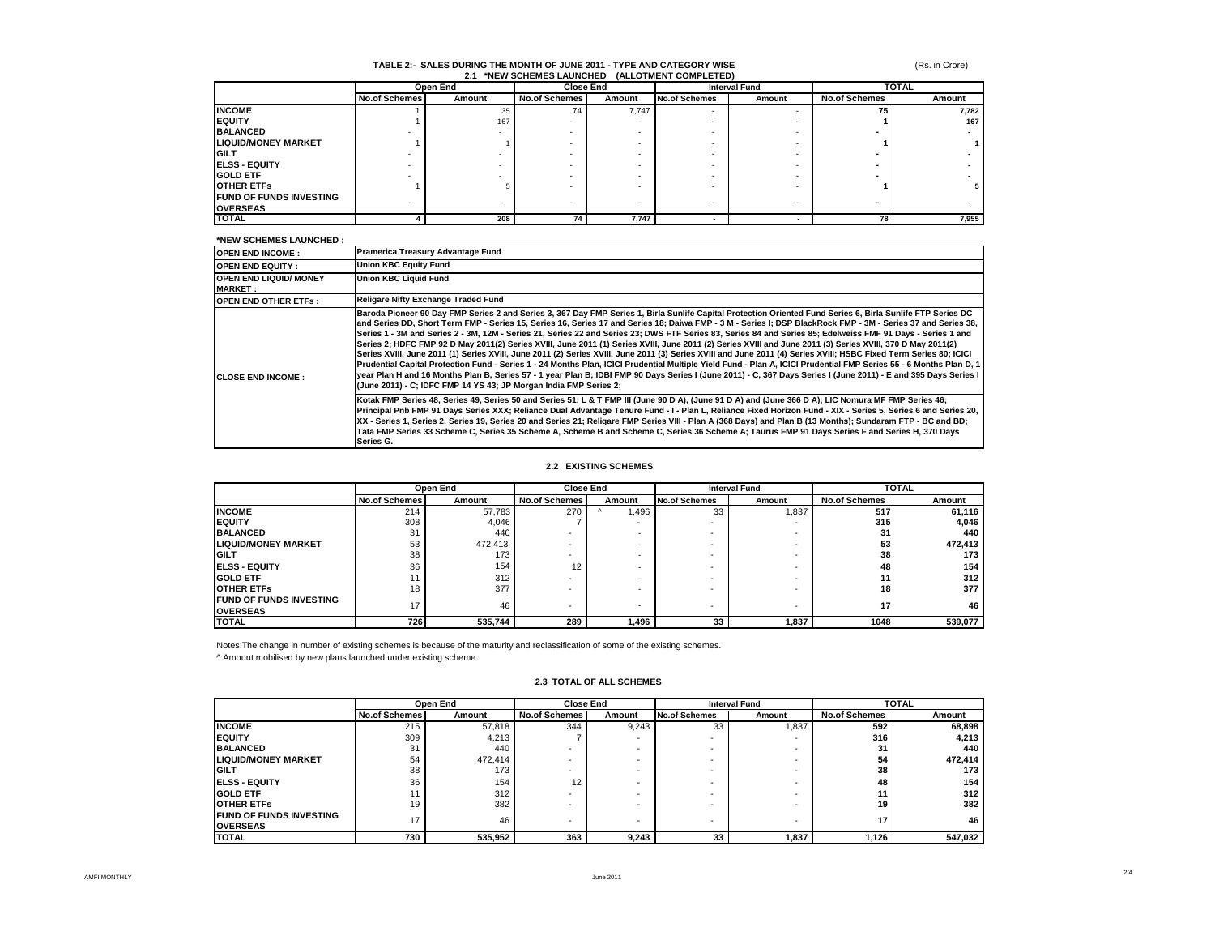#### (Rs. in Crore)

# **TABLE 2:- SALES DURING THE MONTH OF JUNE 2011 - TYPE AND CATEGORY WISE 2.1 \*NEW SCHEMES LAUNCHED (ALLOTMENT COMPLETED)**

|                                |                      | Open End | <b>Close End</b>     |        | <b>Interval Fund</b> |        | <b>TOTAL</b>         |        |
|--------------------------------|----------------------|----------|----------------------|--------|----------------------|--------|----------------------|--------|
|                                | <b>No.of Schemes</b> | Amount   | <b>No.of Schemes</b> | Amount | <b>No.of Schemes</b> | Amount | <b>No.of Schemes</b> | Amount |
| <b>INCOME</b>                  |                      | 35       | 74                   | 7.747  |                      |        | 75                   | 7,782  |
| <b>IEQUITY</b>                 |                      | 167      |                      |        |                      |        |                      | 167    |
| <b>BALANCED</b>                |                      |          |                      |        |                      |        |                      |        |
| <b>LIQUID/MONEY MARKET</b>     |                      |          |                      |        |                      |        |                      |        |
| <b>IGILT</b>                   |                      |          |                      |        |                      |        |                      |        |
| <b>IELSS - EQUITY</b>          |                      |          |                      |        |                      |        |                      |        |
| <b>GOLD ETF</b>                |                      |          |                      |        |                      |        |                      |        |
| <b>OTHER ETFS</b>              |                      |          |                      |        |                      |        |                      | 5.     |
| <b>FUND OF FUNDS INVESTING</b> |                      |          |                      | ۰      |                      |        |                      |        |
| <b>OVERSEAS</b>                |                      |          |                      |        |                      |        |                      |        |
| <b>TOTAL</b>                   |                      | 208      | 74                   | 7.747  |                      |        | 78                   | 7,955  |

### **\*NEW SCHEMES LAUNCHED :**

| שבו וטירוש שבוזובו וטט זיבו                     |                                                                                                                                                                                                                                                                                                                                                                                                                                                                                                                                                                                                                                                                                                                                                                                                                                                                                                                                                                                                                                                                                                                                                                                                                                             |
|-------------------------------------------------|---------------------------------------------------------------------------------------------------------------------------------------------------------------------------------------------------------------------------------------------------------------------------------------------------------------------------------------------------------------------------------------------------------------------------------------------------------------------------------------------------------------------------------------------------------------------------------------------------------------------------------------------------------------------------------------------------------------------------------------------------------------------------------------------------------------------------------------------------------------------------------------------------------------------------------------------------------------------------------------------------------------------------------------------------------------------------------------------------------------------------------------------------------------------------------------------------------------------------------------------|
| <b>OPEN END INCOME:</b>                         | Pramerica Treasury Advantage Fund                                                                                                                                                                                                                                                                                                                                                                                                                                                                                                                                                                                                                                                                                                                                                                                                                                                                                                                                                                                                                                                                                                                                                                                                           |
| <b>OPEN END EQUITY:</b>                         | <b>Union KBC Equity Fund</b>                                                                                                                                                                                                                                                                                                                                                                                                                                                                                                                                                                                                                                                                                                                                                                                                                                                                                                                                                                                                                                                                                                                                                                                                                |
| <b>OPEN END LIQUID/ MONEY</b><br><b>MARKET:</b> | <b>Union KBC Liquid Fund</b>                                                                                                                                                                                                                                                                                                                                                                                                                                                                                                                                                                                                                                                                                                                                                                                                                                                                                                                                                                                                                                                                                                                                                                                                                |
| <b>OPEN END OTHER ETFS:</b>                     | Religare Nifty Exchange Traded Fund                                                                                                                                                                                                                                                                                                                                                                                                                                                                                                                                                                                                                                                                                                                                                                                                                                                                                                                                                                                                                                                                                                                                                                                                         |
| <b>CLOSE END INCOME:</b>                        | Baroda Pioneer 90 Day FMP Series 2 and Series 3, 367 Day FMP Series 1, Birla Sunlife Capital Protection Oriented Fund Series 6, Birla Sunlife FTP Series DC<br>and Series DD, Short Term FMP - Series 15, Series 16, Series 17 and Series 18; Daiwa FMP - 3 M - Series I; DSP BlackRock FMP - 3M - Series 37 and Series 38,<br>Series 1 - 3M and Series 2 - 3M, 12M - Series 21, Series 22 and Series 23; DWS FTF Series 83, Series 84 and Series 85; Edelweiss FMF 91 Days - Series 1 and<br>Series 2; HDFC FMP 92 D May 2011(2) Series XVIII, June 2011 (1) Series XVIII, June 2011 (2) Series XVIII and June 2011 (3) Series XVIII, 370 D May 2011(2)<br>Series XVIII, June 2011 (1) Series XVIII, June 2011 (2) Series XVIII, June 2011 (3) Series XVIII and June 2011 (4) Series XVIII; HSBC Fixed Term Series 80; ICICI<br>Prudential Capital Protection Fund - Series 1 - 24 Months Plan, ICICI Prudential Multiple Yield Fund - Plan A, ICICI Prudential FMP Series 55 - 6 Months Plan D, 1<br>year Plan H and 16 Months Plan B, Series 57 - 1 year Plan B; IDBI FMP 90 Days Series I (June 2011) - C, 367 Days Series I (June 2011) - E and 395 Days Series I<br>(June 2011) - C; IDFC FMP 14 YS 43; JP Morgan India FMP Series 2; |
|                                                 | Kotak FMP Series 48, Series 49, Series 50 and Series 51; L & T FMP III (June 90 D A), (June 91 D A) and (June 366 D A); LIC Nomura MF FMP Series 46;<br>Principal Pnb FMP 91 Days Series XXX; Reliance Dual Advantage Tenure Fund - I - Plan L, Reliance Fixed Horizon Fund - XIX - Series 5, Series 6 and Series 20,<br>XX - Series 1, Series 2, Series 19, Series 20 and Series 21; Religare FMP Series VIII - Plan A (368 Days) and Plan B (13 Months); Sundaram FTP - BC and BD;<br>Tata FMP Series 33 Scheme C, Series 35 Scheme A, Scheme B and Scheme C, Series 36 Scheme A; Taurus FMP 91 Days Series F and Series H, 370 Days<br>Series G.                                                                                                                                                                                                                                                                                                                                                                                                                                                                                                                                                                                         |

#### **2.2 EXISTING SCHEMES**

|                                                   | Open End             |         | <b>Close End</b>     |        | <b>Interval Fund</b>     |        | <b>TOTAL</b>         |         |
|---------------------------------------------------|----------------------|---------|----------------------|--------|--------------------------|--------|----------------------|---------|
|                                                   | <b>No.of Schemes</b> | Amount  | <b>No.of Schemes</b> | Amount | <b>No.of Schemes</b>     | Amount | <b>No.of Schemes</b> | Amount  |
| <b>INCOME</b>                                     | 214                  | 57,783  | 270                  | .496   | 33                       | 1,837  | 517                  | 61,116  |
| <b>IEQUITY</b>                                    | 308                  | 4.046   |                      | -      |                          |        | 315                  | 4,046   |
| <b>BALANCED</b>                                   | 31                   | 440     |                      |        |                          |        | 31                   | 440     |
| <b>LIQUID/MONEY MARKET</b>                        | 53                   | 472,413 |                      | ۰      |                          |        | 53                   | 472,413 |
| <b>IGILT</b>                                      | 38                   | 173     |                      | -      |                          |        | 38                   | 173     |
| <b>IELSS - EQUITY</b>                             | 36                   | 154     | 12                   |        |                          |        | 48                   | 154     |
| <b>GOLD ETF</b>                                   |                      | 312     |                      |        |                          |        | 11                   | 312     |
| <b>OTHER ETFS</b>                                 | 18                   | 377     |                      |        |                          |        | 18 <sup>1</sup>      | 377     |
| <b>FUND OF FUNDS INVESTING</b><br><b>OVERSEAS</b> | 17                   | 46      |                      | ۰      | $\overline{\phantom{a}}$ | -      | 17                   | 46      |
| <b>ITOTAL</b>                                     | 726                  | 535,744 | 289                  | 1,496  | 33                       | 1,837  | 1048                 | 539,077 |

Notes:The change in number of existing schemes is because of the maturity and reclassification of some of the existing schemes. ^ Amount mobilised by new plans launched under existing scheme.

## **2.3 TOTAL OF ALL SCHEMES**

|                                | Open End             |         |                          | <b>Close End</b> |                      | <b>Interval Fund</b>     |                      | <b>TOTAL</b> |  |
|--------------------------------|----------------------|---------|--------------------------|------------------|----------------------|--------------------------|----------------------|--------------|--|
|                                | <b>No.of Schemes</b> | Amount  | <b>No.of Schemes</b>     | Amount           | <b>No.of Schemes</b> | Amount                   | <b>No.of Schemes</b> | Amount       |  |
| <b>INCOME</b>                  | 215                  | 57,818  | 344                      | 9,243            | 33                   | 1,837                    | 592                  | 68,898       |  |
| <b>IEQUITY</b>                 | 309                  | 4,213   |                          | -                |                      | -                        | 316                  | 4,213        |  |
| <b>BALANCED</b>                | 31                   | 440     |                          | -                |                      | -                        | 31                   | 440          |  |
| <b>LIQUID/MONEY MARKET</b>     | 54                   | 472,414 |                          | -                |                      | -                        | 54                   | 472,414      |  |
| <b>IGILT</b>                   | 38                   | 173     | -                        | -                |                      | -                        | 38                   | 173          |  |
| <b>IELSS - EQUITY</b>          | 36                   | 154     | 12                       | -                |                      | -                        | 48                   | 154          |  |
| <b>GOLD ETF</b>                |                      | 312     | $\overline{\phantom{a}}$ | -                |                      | -                        |                      | 312          |  |
| <b>OTHER ETFS</b>              | 19                   | 382     | -                        | -                |                      | $\overline{\phantom{0}}$ | 19                   | 382          |  |
| <b>FUND OF FUNDS INVESTING</b> | 17                   | 46      |                          |                  |                      |                          | 17                   | 46           |  |
| <b>OVERSEAS</b>                |                      |         | $\overline{\phantom{a}}$ | -                |                      | $\overline{\phantom{a}}$ |                      |              |  |
| <b>TOTAL</b>                   | 730                  | 535,952 | 363                      | 9.243            | 33                   | 1,837                    | 1,126                | 547,032      |  |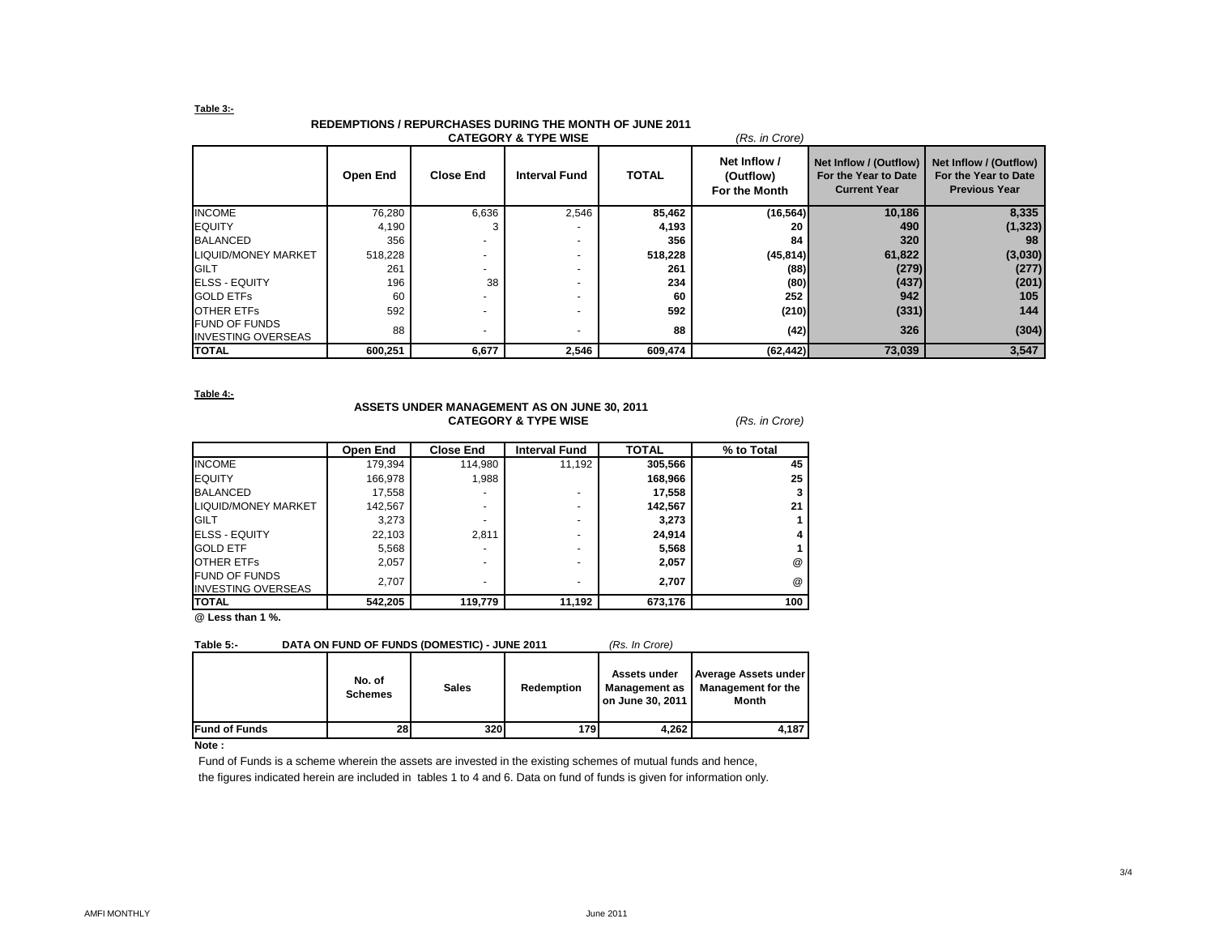## **Table 3:-**

| <b>REDEMPTIONS / REPURCHASES DURING THE MONTH OF JUNE 2011</b> |
|----------------------------------------------------------------|
|                                                                |

| <b>CATEGORY &amp; TYPE WISE</b><br>(Rs. in Crore) |          |                  |                      |              |                                            |                                                                       |                                                                        |  |  |
|---------------------------------------------------|----------|------------------|----------------------|--------------|--------------------------------------------|-----------------------------------------------------------------------|------------------------------------------------------------------------|--|--|
|                                                   | Open End | <b>Close End</b> | <b>Interval Fund</b> | <b>TOTAL</b> | Net Inflow /<br>(Outflow)<br>For the Month | Net Inflow / (Outflow)<br>For the Year to Date<br><b>Current Year</b> | Net Inflow / (Outflow)<br>For the Year to Date<br><b>Previous Year</b> |  |  |
| <b>INCOME</b>                                     | 76,280   | 6,636            | 2,546                | 85,462       | (16, 564)                                  | 10,186                                                                | 8,335                                                                  |  |  |
| <b>EQUITY</b>                                     | 4,190    |                  |                      | 4,193        | 20                                         | 490                                                                   | (1, 323)                                                               |  |  |
| <b>BALANCED</b>                                   | 356      |                  |                      | 356          | 84                                         | 320                                                                   | 98                                                                     |  |  |
| <b>LIQUID/MONEY MARKET</b>                        | 518,228  |                  |                      | 518,228      | (45, 814)                                  | 61,822                                                                | (3,030)                                                                |  |  |
| <b>IGILT</b>                                      | 261      |                  |                      | 261          | (88)                                       | (279)                                                                 | (277)                                                                  |  |  |
| <b>ELSS - EQUITY</b>                              | 196      | 38               |                      | 234          | (80)                                       | (437)                                                                 | (201)                                                                  |  |  |
| <b>GOLD ETFS</b>                                  | 60       |                  |                      | 60           | 252                                        | 942                                                                   | 105                                                                    |  |  |
| <b>OTHER ETFS</b>                                 | 592      |                  |                      | 592          | (210)                                      | (331)                                                                 | 144                                                                    |  |  |
| <b>FUND OF FUNDS</b><br><b>INVESTING OVERSEAS</b> | 88       |                  |                      | 88           | (42)                                       | 326                                                                   | (304)                                                                  |  |  |
| <b>TOTAL</b>                                      | 600,251  | 6,677            | 2,546                | 609,474      | (62, 442)                                  | 73,039                                                                | 3,547                                                                  |  |  |

**Table 4:-**

## **ASSETS UNDER MANAGEMENT AS ON JUNE 30, 2011 CATEGORY & TYPE WISE** *(Rs. in Crore)*

|                                                   | Open End | <b>Close End</b> | <b>Interval Fund</b> | <b>TOTAL</b> | % to Total           |
|---------------------------------------------------|----------|------------------|----------------------|--------------|----------------------|
| <b>INCOME</b>                                     | 179,394  | 114,980          | 11.192               | 305,566      | 45                   |
| <b>EQUITY</b>                                     | 166,978  | 1,988            |                      | 168,966      | 25                   |
| <b>BALANCED</b>                                   | 17,558   |                  | ۰                    | 17,558       |                      |
| LIQUID/MONEY MARKET                               | 142.567  |                  | ۰                    | 142,567      | 21                   |
| <b>GILT</b>                                       | 3,273    |                  | ۰                    | 3,273        |                      |
| <b>ELSS - EQUITY</b>                              | 22,103   | 2,811            | ۰                    | 24,914       |                      |
| <b>GOLD ETF</b>                                   | 5,568    |                  | ۰                    | 5,568        |                      |
| <b>OTHER ETFS</b>                                 | 2,057    |                  | ۰                    | 2,057        | @                    |
| <b>FUND OF FUNDS</b><br><b>INVESTING OVERSEAS</b> | 2.707    |                  | ۰                    | 2.707        | $^{\textregistered}$ |
| <b>ITOTAL</b>                                     | 542,205  | 119,779          | 11,192               | 673,176      | 100                  |

**@ Less than 1 %.**

| Table 5: | DATA ON FUND OF FUNDS (DOMESTIC) - JUNE 2011 | (Rs. In Crore) |
|----------|----------------------------------------------|----------------|
|          |                                              |                |

|                      | No. of<br><b>Schemes</b> | <b>Sales</b> | <b>Redemption</b> | Assets under<br><b>Management as</b><br>on June 30, 2011 | <b>Average Assets under</b><br><b>Management for the</b><br><b>Month</b> |
|----------------------|--------------------------|--------------|-------------------|----------------------------------------------------------|--------------------------------------------------------------------------|
| <b>Fund of Funds</b> | 28                       | 320          | 179               | 4.262                                                    | 4.187                                                                    |

**Note :**

Fund of Funds is a scheme wherein the assets are invested in the existing schemes of mutual funds and hence,

the figures indicated herein are included in tables 1 to 4 and 6. Data on fund of funds is given for information only.